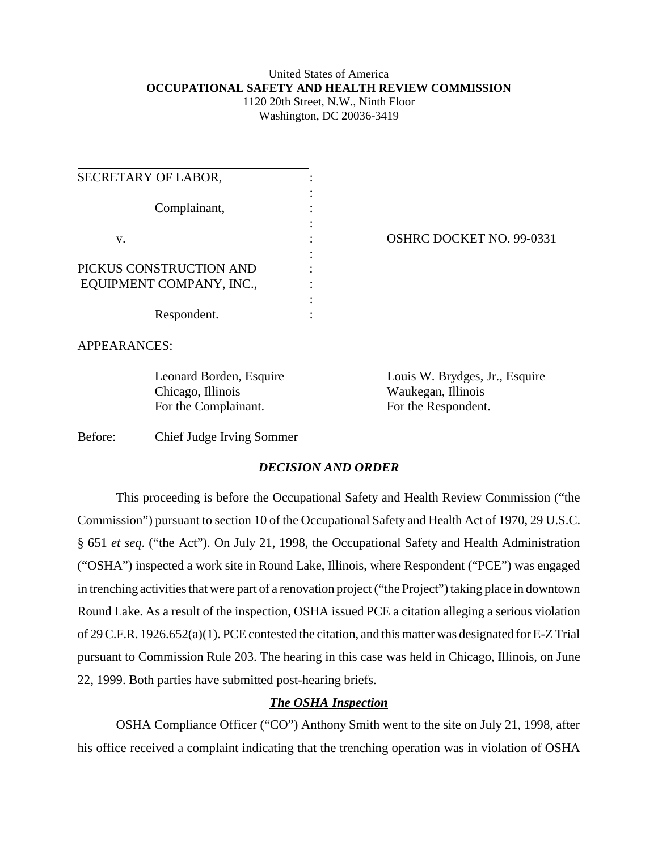### United States of America **OCCUPATIONAL SAFETY AND HEALTH REVIEW COMMISSION** 1120 20th Street, N.W., Ninth Floor

Washington, DC 20036-3419

| SECRETARY OF LABOR,      |  |
|--------------------------|--|
| Complainant,             |  |
| V.                       |  |
| PICKUS CONSTRUCTION AND  |  |
| EQUIPMENT COMPANY, INC., |  |
| Respondent.              |  |

OSHRC DOCKET NO. 99-0331

APPEARANCES:

Chicago, Illinois Waukegan, Illinois For the Complainant. For the Respondent.

Leonard Borden, Esquire Louis W. Brydges, Jr., Esquire

Before: Chief Judge Irving Sommer

# *DECISION AND ORDER*

This proceeding is before the Occupational Safety and Health Review Commission ("the Commission") pursuant to section 10 of the Occupational Safety and Health Act of 1970, 29 U.S.C. § 651 *et seq*. ("the Act"). On July 21, 1998, the Occupational Safety and Health Administration ("OSHA") inspected a work site in Round Lake, Illinois, where Respondent ("PCE") was engaged in trenching activities that were part of a renovation project ("the Project") taking place in downtown Round Lake. As a result of the inspection, OSHA issued PCE a citation alleging a serious violation of 29 C.F.R. 1926.652(a)(1). PCE contested the citation, and this matter was designated for E-Z Trial pursuant to Commission Rule 203. The hearing in this case was held in Chicago, Illinois, on June 22, 1999. Both parties have submitted post-hearing briefs.

# *The OSHA Inspection*

OSHA Compliance Officer ("CO") Anthony Smith went to the site on July 21, 1998, after his office received a complaint indicating that the trenching operation was in violation of OSHA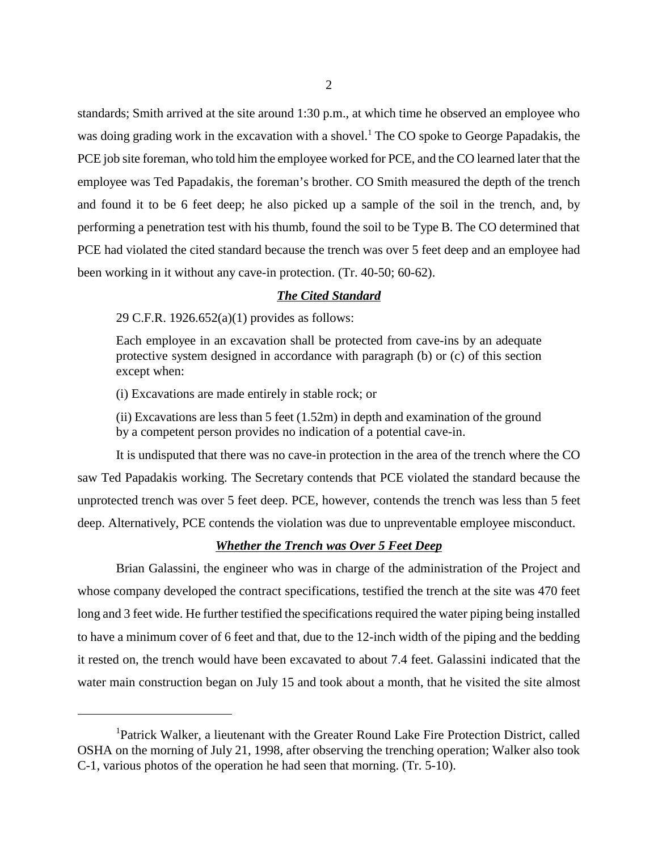standards; Smith arrived at the site around 1:30 p.m., at which time he observed an employee who was doing grading work in the excavation with a shovel.<sup>1</sup> The CO spoke to George Papadakis, the PCE job site foreman, who told him the employee worked for PCE, and the CO learned later that the employee was Ted Papadakis, the foreman's brother. CO Smith measured the depth of the trench and found it to be 6 feet deep; he also picked up a sample of the soil in the trench, and, by performing a penetration test with his thumb, found the soil to be Type B. The CO determined that PCE had violated the cited standard because the trench was over 5 feet deep and an employee had been working in it without any cave-in protection. (Tr. 40-50; 60-62).

### *The Cited Standard*

29 C.F.R. 1926.652(a)(1) provides as follows:

Each employee in an excavation shall be protected from cave-ins by an adequate protective system designed in accordance with paragraph (b) or (c) of this section except when:

(i) Excavations are made entirely in stable rock; or

(ii) Excavations are less than 5 feet (1.52m) in depth and examination of the ground by a competent person provides no indication of a potential cave-in.

It is undisputed that there was no cave-in protection in the area of the trench where the CO saw Ted Papadakis working. The Secretary contends that PCE violated the standard because the unprotected trench was over 5 feet deep. PCE, however, contends the trench was less than 5 feet deep. Alternatively, PCE contends the violation was due to unpreventable employee misconduct.

## *Whether the Trench was Over 5 Feet Deep*

Brian Galassini, the engineer who was in charge of the administration of the Project and whose company developed the contract specifications, testified the trench at the site was 470 feet long and 3 feet wide. He further testified the specifications required the water piping being installed to have a minimum cover of 6 feet and that, due to the 12-inch width of the piping and the bedding it rested on, the trench would have been excavated to about 7.4 feet. Galassini indicated that the water main construction began on July 15 and took about a month, that he visited the site almost

<sup>&</sup>lt;sup>1</sup>Patrick Walker, a lieutenant with the Greater Round Lake Fire Protection District, called OSHA on the morning of July 21, 1998, after observing the trenching operation; Walker also took C-1, various photos of the operation he had seen that morning. (Tr. 5-10).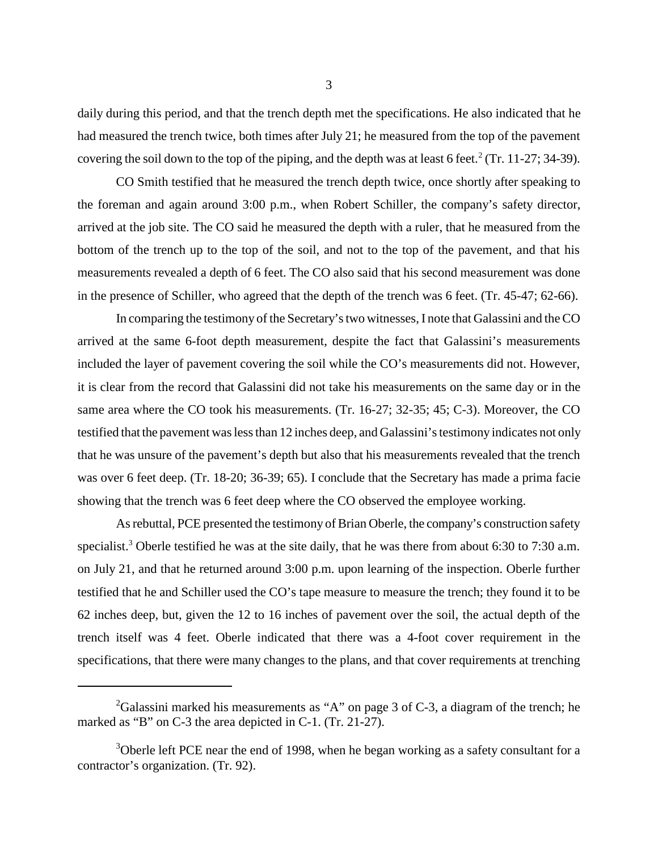daily during this period, and that the trench depth met the specifications. He also indicated that he had measured the trench twice, both times after July 21; he measured from the top of the pavement covering the soil down to the top of the piping, and the depth was at least 6 feet.<sup>2</sup> (Tr. 11-27; 34-39).

CO Smith testified that he measured the trench depth twice, once shortly after speaking to the foreman and again around 3:00 p.m., when Robert Schiller, the company's safety director, arrived at the job site. The CO said he measured the depth with a ruler, that he measured from the bottom of the trench up to the top of the soil, and not to the top of the pavement, and that his measurements revealed a depth of 6 feet. The CO also said that his second measurement was done in the presence of Schiller, who agreed that the depth of the trench was 6 feet. (Tr. 45-47; 62-66).

In comparing the testimony of the Secretary's two witnesses, I note that Galassini and the CO arrived at the same 6-foot depth measurement, despite the fact that Galassini's measurements included the layer of pavement covering the soil while the CO's measurements did not. However, it is clear from the record that Galassini did not take his measurements on the same day or in the same area where the CO took his measurements. (Tr. 16-27; 32-35; 45; C-3). Moreover, the CO testified that the pavement was less than 12 inches deep, and Galassini's testimony indicates not only that he was unsure of the pavement's depth but also that his measurements revealed that the trench was over 6 feet deep. (Tr. 18-20; 36-39; 65). I conclude that the Secretary has made a prima facie showing that the trench was 6 feet deep where the CO observed the employee working.

As rebuttal, PCE presented the testimony of Brian Oberle, the company's construction safety specialist.<sup>3</sup> Oberle testified he was at the site daily, that he was there from about 6:30 to 7:30 a.m. on July 21, and that he returned around 3:00 p.m. upon learning of the inspection. Oberle further testified that he and Schiller used the CO's tape measure to measure the trench; they found it to be 62 inches deep, but, given the 12 to 16 inches of pavement over the soil, the actual depth of the trench itself was 4 feet. Oberle indicated that there was a 4-foot cover requirement in the specifications, that there were many changes to the plans, and that cover requirements at trenching

<sup>&</sup>lt;sup>2</sup>Galassini marked his measurements as "A" on page 3 of C-3, a diagram of the trench; he marked as "B" on C-3 the area depicted in C-1. (Tr. 21-27).

 $3$ Oberle left PCE near the end of 1998, when he began working as a safety consultant for a contractor's organization. (Tr. 92).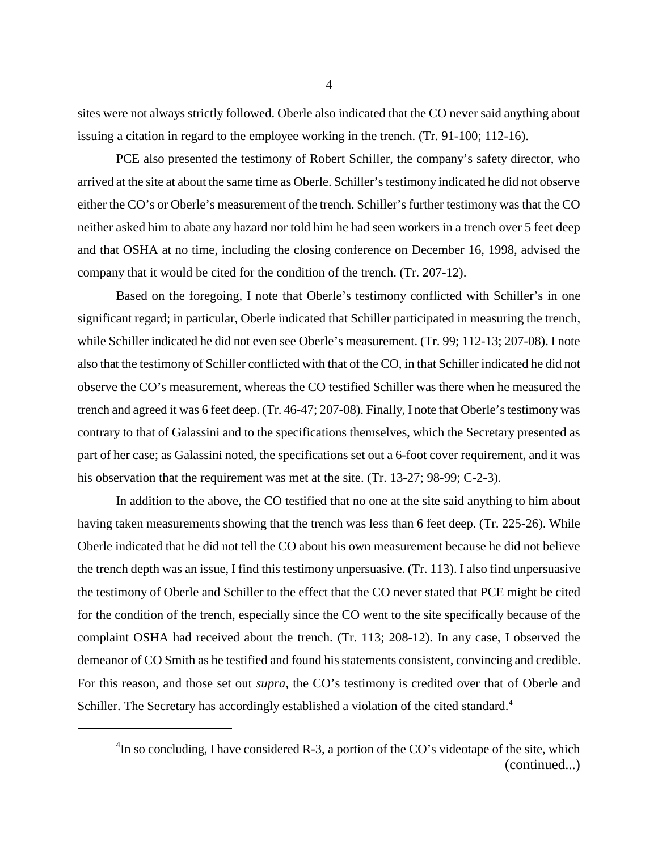sites were not always strictly followed. Oberle also indicated that the CO never said anything about issuing a citation in regard to the employee working in the trench. (Tr. 91-100; 112-16).

PCE also presented the testimony of Robert Schiller, the company's safety director, who arrived at the site at about the same time as Oberle. Schiller's testimony indicated he did not observe either the CO's or Oberle's measurement of the trench. Schiller's further testimony was that the CO neither asked him to abate any hazard nor told him he had seen workers in a trench over 5 feet deep and that OSHA at no time, including the closing conference on December 16, 1998, advised the company that it would be cited for the condition of the trench. (Tr. 207-12).

Based on the foregoing, I note that Oberle's testimony conflicted with Schiller's in one significant regard; in particular, Oberle indicated that Schiller participated in measuring the trench, while Schiller indicated he did not even see Oberle's measurement. (Tr. 99; 112-13; 207-08). I note also that the testimony of Schiller conflicted with that of the CO, in that Schiller indicated he did not observe the CO's measurement, whereas the CO testified Schiller was there when he measured the trench and agreed it was 6 feet deep. (Tr. 46-47; 207-08). Finally, I note that Oberle's testimony was contrary to that of Galassini and to the specifications themselves, which the Secretary presented as part of her case; as Galassini noted, the specifications set out a 6-foot cover requirement, and it was his observation that the requirement was met at the site. (Tr. 13-27; 98-99; C-2-3).

In addition to the above, the CO testified that no one at the site said anything to him about having taken measurements showing that the trench was less than 6 feet deep. (Tr. 225-26). While Oberle indicated that he did not tell the CO about his own measurement because he did not believe the trench depth was an issue, I find this testimony unpersuasive. (Tr. 113). I also find unpersuasive the testimony of Oberle and Schiller to the effect that the CO never stated that PCE might be cited for the condition of the trench, especially since the CO went to the site specifically because of the complaint OSHA had received about the trench. (Tr. 113; 208-12). In any case, I observed the demeanor of CO Smith as he testified and found his statements consistent, convincing and credible. For this reason, and those set out *supra*, the CO's testimony is credited over that of Oberle and Schiller. The Secretary has accordingly established a violation of the cited standard.<sup>4</sup>

 ${}^{4}$ In so concluding, I have considered R-3, a portion of the CO's videotape of the site, which (continued...)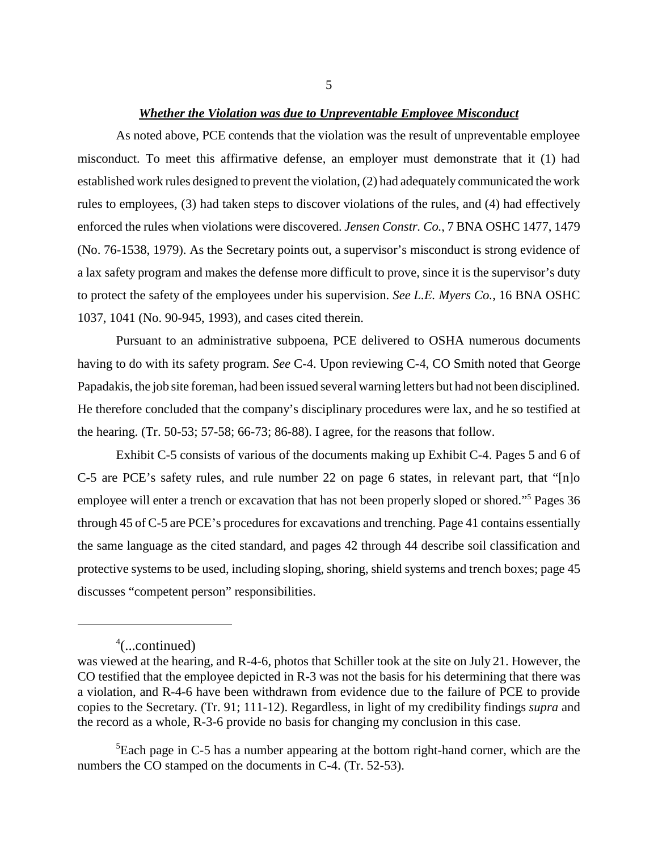#### *Whether the Violation was due to Unpreventable Employee Misconduct*

As noted above, PCE contends that the violation was the result of unpreventable employee misconduct. To meet this affirmative defense, an employer must demonstrate that it (1) had established work rules designed to prevent the violation, (2) had adequately communicated the work rules to employees, (3) had taken steps to discover violations of the rules, and (4) had effectively enforced the rules when violations were discovered. *Jensen Constr. Co.*, 7 BNA OSHC 1477, 1479 (No. 76-1538, 1979). As the Secretary points out, a supervisor's misconduct is strong evidence of a lax safety program and makes the defense more difficult to prove, since it is the supervisor's duty to protect the safety of the employees under his supervision. *See L.E. Myers Co.*, 16 BNA OSHC 1037, 1041 (No. 90-945, 1993), and cases cited therein.

Pursuant to an administrative subpoena, PCE delivered to OSHA numerous documents having to do with its safety program. *See* C-4. Upon reviewing C-4, CO Smith noted that George Papadakis, the job site foreman, had been issued several warning letters but had not been disciplined. He therefore concluded that the company's disciplinary procedures were lax, and he so testified at the hearing. (Tr. 50-53; 57-58; 66-73; 86-88). I agree, for the reasons that follow.

Exhibit C-5 consists of various of the documents making up Exhibit C-4. Pages 5 and 6 of C-5 are PCE's safety rules, and rule number 22 on page 6 states, in relevant part, that "[n]o employee will enter a trench or excavation that has not been properly sloped or shored."<sup>5</sup> Pages 36 through 45 of C-5 are PCE's procedures for excavations and trenching. Page 41 contains essentially the same language as the cited standard, and pages 42 through 44 describe soil classification and protective systems to be used, including sloping, shoring, shield systems and trench boxes; page 45 discusses "competent person" responsibilities.

 ${}^{5}$ Each page in C-5 has a number appearing at the bottom right-hand corner, which are the numbers the CO stamped on the documents in C-4. (Tr. 52-53).

<sup>4</sup> (...continued)

was viewed at the hearing, and R-4-6, photos that Schiller took at the site on July 21. However, the CO testified that the employee depicted in R-3 was not the basis for his determining that there was a violation, and R-4-6 have been withdrawn from evidence due to the failure of PCE to provide copies to the Secretary. (Tr. 91; 111-12). Regardless, in light of my credibility findings *supra* and the record as a whole, R-3-6 provide no basis for changing my conclusion in this case.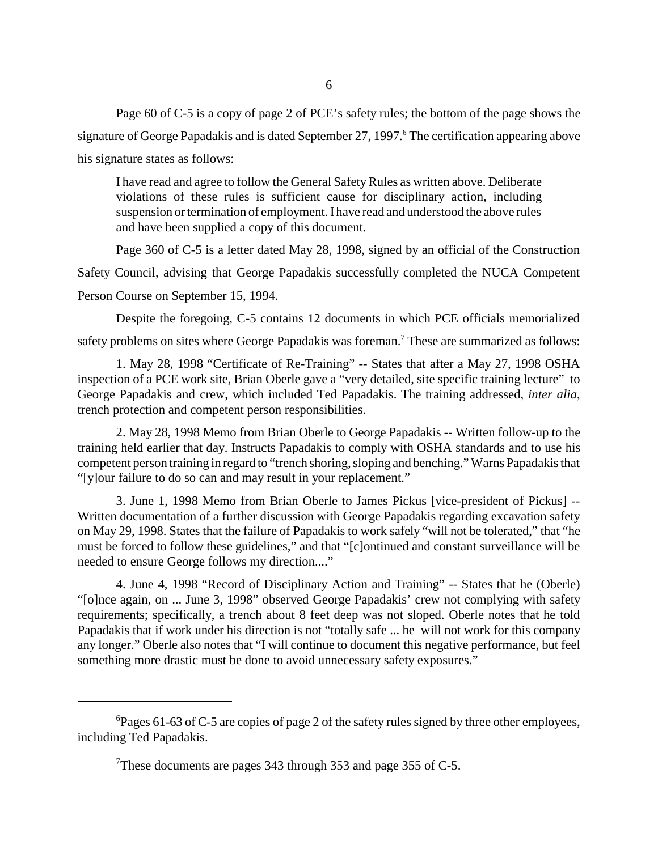Page 60 of C-5 is a copy of page 2 of PCE's safety rules; the bottom of the page shows the signature of George Papadakis and is dated September 27, 1997.<sup>6</sup> The certification appearing above his signature states as follows:

I have read and agree to follow the General Safety Rules as written above. Deliberate violations of these rules is sufficient cause for disciplinary action, including suspension or termination of employment. I have read and understood the above rules and have been supplied a copy of this document.

Page 360 of C-5 is a letter dated May 28, 1998, signed by an official of the Construction Safety Council, advising that George Papadakis successfully completed the NUCA Competent Person Course on September 15, 1994.

Despite the foregoing, C-5 contains 12 documents in which PCE officials memorialized safety problems on sites where George Papadakis was foreman.<sup>7</sup> These are summarized as follows:

1. May 28, 1998 "Certificate of Re-Training" -- States that after a May 27, 1998 OSHA inspection of a PCE work site, Brian Oberle gave a "very detailed, site specific training lecture" to George Papadakis and crew, which included Ted Papadakis. The training addressed, *inter alia*, trench protection and competent person responsibilities.

2. May 28, 1998 Memo from Brian Oberle to George Papadakis -- Written follow-up to the training held earlier that day. Instructs Papadakis to comply with OSHA standards and to use his competent person training in regard to "trench shoring, sloping and benching." Warns Papadakis that "[y]our failure to do so can and may result in your replacement."

3. June 1, 1998 Memo from Brian Oberle to James Pickus [vice-president of Pickus] -- Written documentation of a further discussion with George Papadakis regarding excavation safety on May 29, 1998. States that the failure of Papadakis to work safely "will not be tolerated," that "he must be forced to follow these guidelines," and that "[c]ontinued and constant surveillance will be needed to ensure George follows my direction...."

4. June 4, 1998 "Record of Disciplinary Action and Training" -- States that he (Oberle) "[o]nce again, on ... June 3, 1998" observed George Papadakis' crew not complying with safety requirements; specifically, a trench about 8 feet deep was not sloped. Oberle notes that he told Papadakis that if work under his direction is not "totally safe ... he will not work for this company any longer." Oberle also notes that "I will continue to document this negative performance, but feel something more drastic must be done to avoid unnecessary safety exposures."

 ${}^{6}$ Pages 61-63 of C-5 are copies of page 2 of the safety rules signed by three other employees, including Ted Papadakis.

<sup>&</sup>lt;sup>7</sup>These documents are pages 343 through 353 and page 355 of C-5.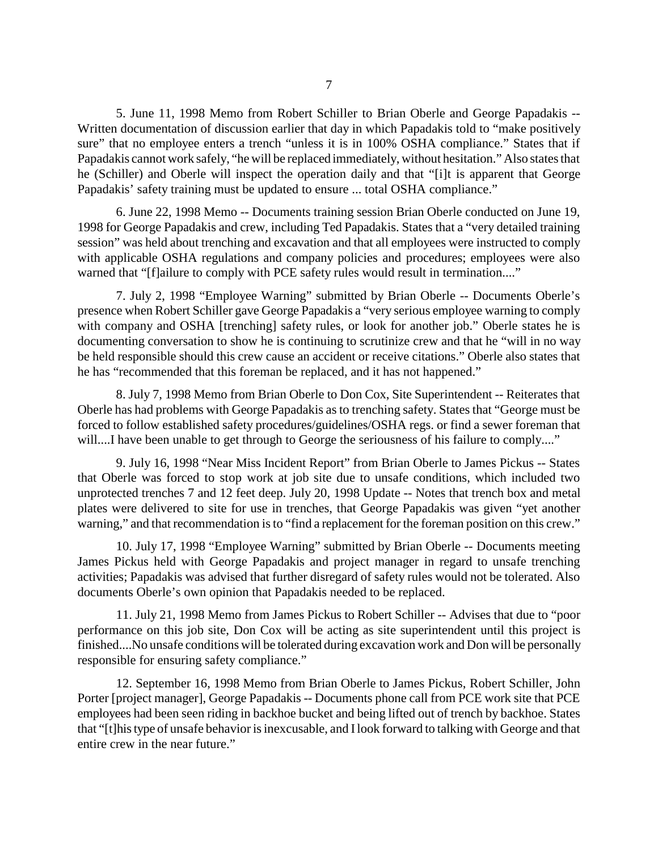5. June 11, 1998 Memo from Robert Schiller to Brian Oberle and George Papadakis -- Written documentation of discussion earlier that day in which Papadakis told to "make positively sure" that no employee enters a trench "unless it is in 100% OSHA compliance." States that if Papadakis cannot work safely, "he will be replaced immediately, without hesitation." Also states that he (Schiller) and Oberle will inspect the operation daily and that "[i]t is apparent that George Papadakis' safety training must be updated to ensure ... total OSHA compliance."

6. June 22, 1998 Memo -- Documents training session Brian Oberle conducted on June 19, 1998 for George Papadakis and crew, including Ted Papadakis. States that a "very detailed training session" was held about trenching and excavation and that all employees were instructed to comply with applicable OSHA regulations and company policies and procedures; employees were also warned that "[f]ailure to comply with PCE safety rules would result in termination...."

7. July 2, 1998 "Employee Warning" submitted by Brian Oberle -- Documents Oberle's presence when Robert Schiller gave George Papadakis a "very serious employee warning to comply with company and OSHA [trenching] safety rules, or look for another job." Oberle states he is documenting conversation to show he is continuing to scrutinize crew and that he "will in no way be held responsible should this crew cause an accident or receive citations." Oberle also states that he has "recommended that this foreman be replaced, and it has not happened."

8. July 7, 1998 Memo from Brian Oberle to Don Cox, Site Superintendent -- Reiterates that Oberle has had problems with George Papadakis as to trenching safety. States that "George must be forced to follow established safety procedures/guidelines/OSHA regs. or find a sewer foreman that will....I have been unable to get through to George the seriousness of his failure to comply...."

9. July 16, 1998 "Near Miss Incident Report" from Brian Oberle to James Pickus -- States that Oberle was forced to stop work at job site due to unsafe conditions, which included two unprotected trenches 7 and 12 feet deep. July 20, 1998 Update -- Notes that trench box and metal plates were delivered to site for use in trenches, that George Papadakis was given "yet another warning," and that recommendation is to "find a replacement for the foreman position on this crew."

10. July 17, 1998 "Employee Warning" submitted by Brian Oberle -- Documents meeting James Pickus held with George Papadakis and project manager in regard to unsafe trenching activities; Papadakis was advised that further disregard of safety rules would not be tolerated. Also documents Oberle's own opinion that Papadakis needed to be replaced.

11. July 21, 1998 Memo from James Pickus to Robert Schiller -- Advises that due to "poor performance on this job site, Don Cox will be acting as site superintendent until this project is finished....No unsafe conditions will be tolerated during excavation work and Don will be personally responsible for ensuring safety compliance."

12. September 16, 1998 Memo from Brian Oberle to James Pickus, Robert Schiller, John Porter [project manager], George Papadakis -- Documents phone call from PCE work site that PCE employees had been seen riding in backhoe bucket and being lifted out of trench by backhoe. States that "[t]his type of unsafe behavior is inexcusable, and I look forward to talking with George and that entire crew in the near future."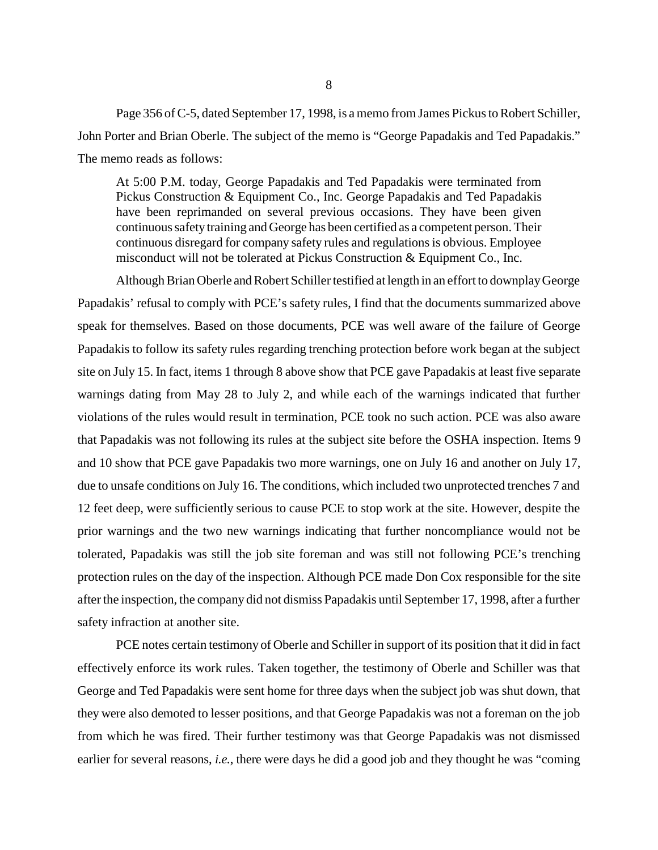Page 356 of C-5, dated September 17, 1998, is a memo from James Pickus to Robert Schiller, John Porter and Brian Oberle. The subject of the memo is "George Papadakis and Ted Papadakis." The memo reads as follows:

At 5:00 P.M. today, George Papadakis and Ted Papadakis were terminated from Pickus Construction & Equipment Co., Inc. George Papadakis and Ted Papadakis have been reprimanded on several previous occasions. They have been given continuous safety training and George has been certified as a competent person. Their continuous disregard for company safety rules and regulations is obvious. Employee misconduct will not be tolerated at Pickus Construction & Equipment Co., Inc.

Although Brian Oberle and Robert Schiller testified at length in an effort to downplay George Papadakis' refusal to comply with PCE's safety rules, I find that the documents summarized above speak for themselves. Based on those documents, PCE was well aware of the failure of George Papadakis to follow its safety rules regarding trenching protection before work began at the subject site on July 15. In fact, items 1 through 8 above show that PCE gave Papadakis at least five separate warnings dating from May 28 to July 2, and while each of the warnings indicated that further violations of the rules would result in termination, PCE took no such action. PCE was also aware that Papadakis was not following its rules at the subject site before the OSHA inspection. Items 9 and 10 show that PCE gave Papadakis two more warnings, one on July 16 and another on July 17, due to unsafe conditions on July 16. The conditions, which included two unprotected trenches 7 and 12 feet deep, were sufficiently serious to cause PCE to stop work at the site. However, despite the prior warnings and the two new warnings indicating that further noncompliance would not be tolerated, Papadakis was still the job site foreman and was still not following PCE's trenching protection rules on the day of the inspection. Although PCE made Don Cox responsible for the site after the inspection, the company did not dismiss Papadakis until September 17, 1998, after a further safety infraction at another site.

PCE notes certain testimony of Oberle and Schiller in support of its position that it did in fact effectively enforce its work rules. Taken together, the testimony of Oberle and Schiller was that George and Ted Papadakis were sent home for three days when the subject job was shut down, that they were also demoted to lesser positions, and that George Papadakis was not a foreman on the job from which he was fired. Their further testimony was that George Papadakis was not dismissed earlier for several reasons, *i.e.*, there were days he did a good job and they thought he was "coming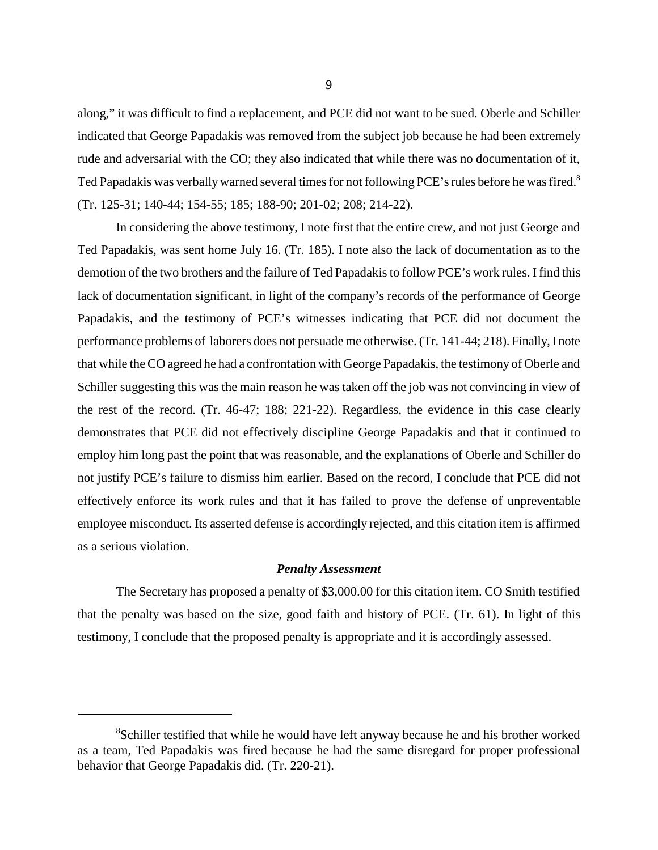along," it was difficult to find a replacement, and PCE did not want to be sued. Oberle and Schiller indicated that George Papadakis was removed from the subject job because he had been extremely rude and adversarial with the CO; they also indicated that while there was no documentation of it, Ted Papadakis was verbally warned several times for not following PCE's rules before he was fired.<sup>8</sup> (Tr. 125-31; 140-44; 154-55; 185; 188-90; 201-02; 208; 214-22).

In considering the above testimony, I note first that the entire crew, and not just George and Ted Papadakis, was sent home July 16. (Tr. 185). I note also the lack of documentation as to the demotion of the two brothers and the failure of Ted Papadakis to follow PCE's work rules. I find this lack of documentation significant, in light of the company's records of the performance of George Papadakis, and the testimony of PCE's witnesses indicating that PCE did not document the performance problems of laborers does not persuade me otherwise. (Tr. 141-44; 218). Finally, I note that while the CO agreed he had a confrontation with George Papadakis, the testimony of Oberle and Schiller suggesting this was the main reason he was taken off the job was not convincing in view of the rest of the record. (Tr. 46-47; 188; 221-22). Regardless, the evidence in this case clearly demonstrates that PCE did not effectively discipline George Papadakis and that it continued to employ him long past the point that was reasonable, and the explanations of Oberle and Schiller do not justify PCE's failure to dismiss him earlier. Based on the record, I conclude that PCE did not effectively enforce its work rules and that it has failed to prove the defense of unpreventable employee misconduct. Its asserted defense is accordingly rejected, and this citation item is affirmed as a serious violation.

### *Penalty Assessment*

The Secretary has proposed a penalty of \$3,000.00 for this citation item. CO Smith testified that the penalty was based on the size, good faith and history of PCE. (Tr. 61). In light of this testimony, I conclude that the proposed penalty is appropriate and it is accordingly assessed.

<sup>&</sup>lt;sup>8</sup>Schiller testified that while he would have left anyway because he and his brother worked as a team, Ted Papadakis was fired because he had the same disregard for proper professional behavior that George Papadakis did. (Tr. 220-21).